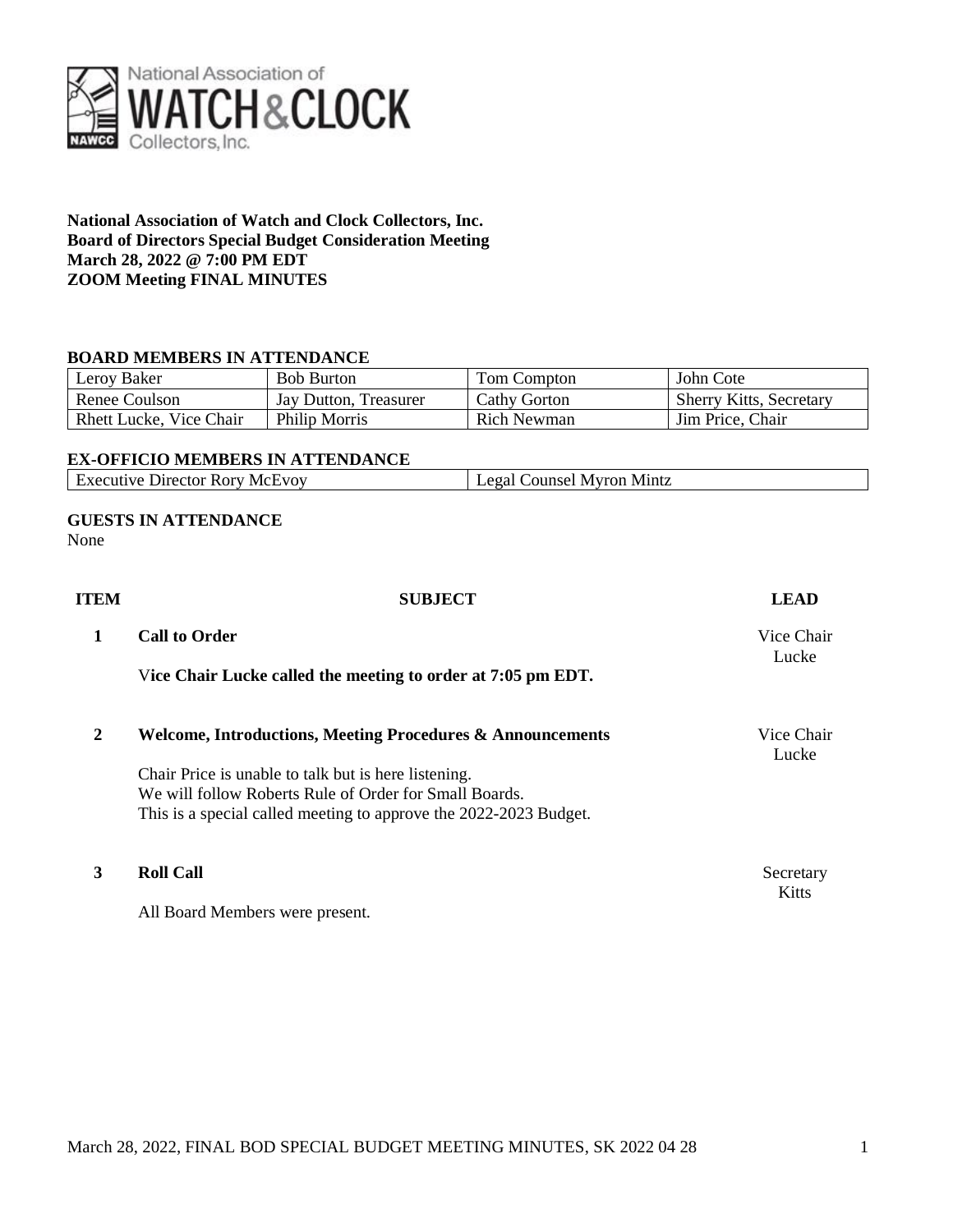

# **National Association of Watch and Clock Collectors, Inc. Board of Directors Special Budget Consideration Meeting March 28, 2022 @ 7:00 PM EDT ZOOM Meeting FINAL MINUTES**

# **BOARD MEMBERS IN ATTENDANCE**

| Leroy Baker                    | <b>Bob Burton</b>     | Tom Compton         | John Cote                      |
|--------------------------------|-----------------------|---------------------|--------------------------------|
| Renee Coulson                  | Jay Dutton, Treasurer | <b>Cathy Gorton</b> | <b>Sherry Kitts, Secretary</b> |
| <b>Rhett Lucke, Vice Chair</b> | Philip Morris         | Rich Newman         | Jim Price, Chair               |

### **EX-OFFICIO MEMBERS IN ATTENDANCE**

| <b>Executive Director Rory McEvoy</b> | Tegal Counsel Myron Mintz |
|---------------------------------------|---------------------------|
|                                       |                           |

### **GUESTS IN ATTENDANCE** None

| ITEM | <b>SUBJECT</b>                                                                                                              | <b>LEAD</b>               |
|------|-----------------------------------------------------------------------------------------------------------------------------|---------------------------|
| 1    | <b>Call to Order</b>                                                                                                        | Vice Chair<br>Lucke       |
|      | Vice Chair Lucke called the meeting to order at 7:05 pm EDT.                                                                |                           |
| 2    | <b>Welcome, Introductions, Meeting Procedures &amp; Announcements</b>                                                       | Vice Chair<br>Lucke       |
|      | Chair Price is unable to talk but is here listening.                                                                        |                           |
|      | We will follow Roberts Rule of Order for Small Boards.<br>This is a special called meeting to approve the 2022-2023 Budget. |                           |
|      |                                                                                                                             |                           |
| 3    | <b>Roll Call</b>                                                                                                            | Secretary<br><b>Kitts</b> |
|      | All Board Members were present.                                                                                             |                           |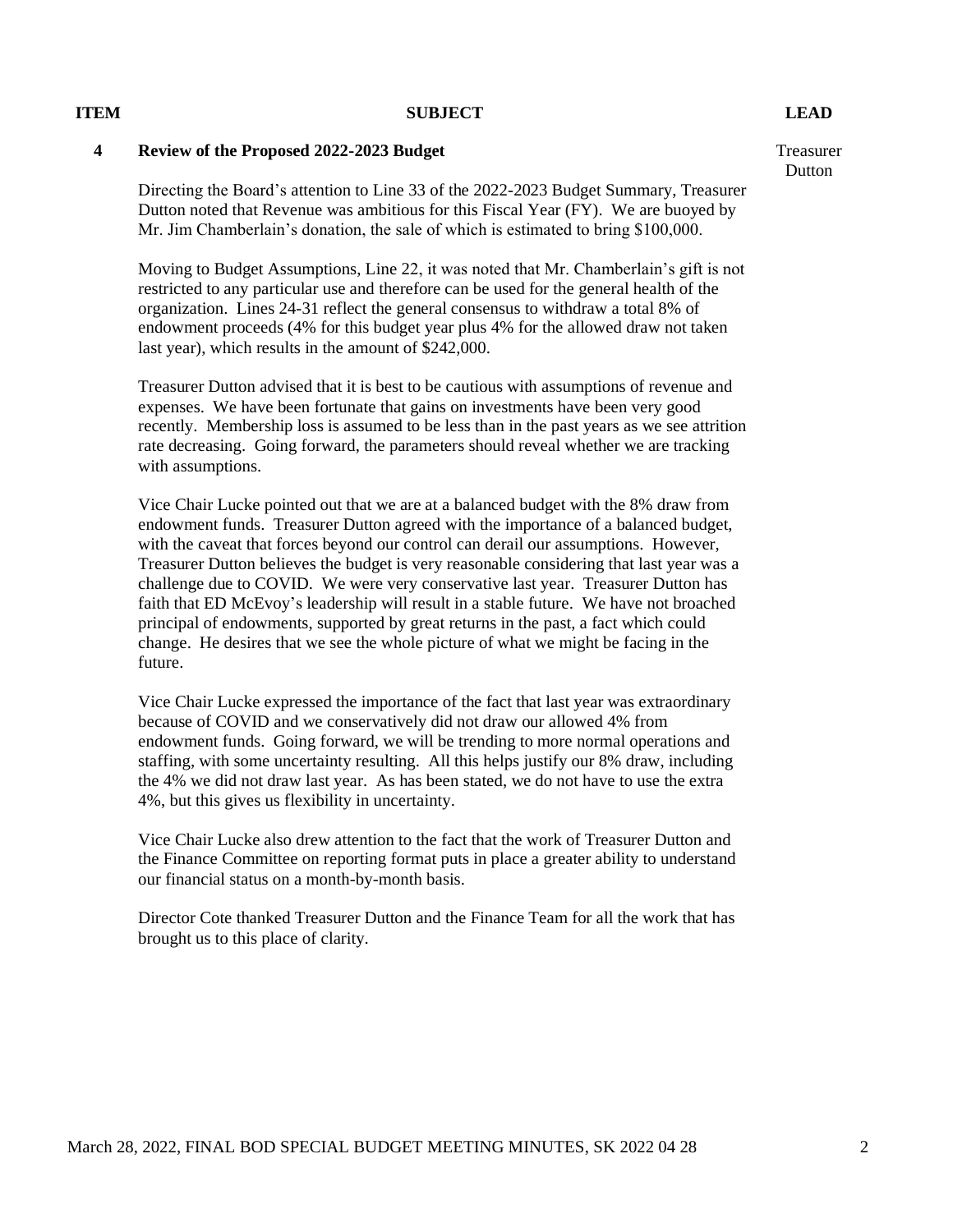### **ITEM SUBJECT LEAD**

# **4 Review of the Proposed 2022-2023 Budget**

Directing the Board's attention to Line 33 of the 2022-2023 Budget Summary, Treasurer Dutton noted that Revenue was ambitious for this Fiscal Year (FY). We are buoyed by Mr. Jim Chamberlain's donation, the sale of which is estimated to bring \$100,000.

Moving to Budget Assumptions, Line 22, it was noted that Mr. Chamberlain's gift is not restricted to any particular use and therefore can be used for the general health of the organization. Lines 24-31 reflect the general consensus to withdraw a total 8% of endowment proceeds (4% for this budget year plus 4% for the allowed draw not taken last year), which results in the amount of \$242,000.

Treasurer Dutton advised that it is best to be cautious with assumptions of revenue and expenses. We have been fortunate that gains on investments have been very good recently. Membership loss is assumed to be less than in the past years as we see attrition rate decreasing. Going forward, the parameters should reveal whether we are tracking with assumptions.

Vice Chair Lucke pointed out that we are at a balanced budget with the 8% draw from endowment funds. Treasurer Dutton agreed with the importance of a balanced budget, with the caveat that forces beyond our control can derail our assumptions. However, Treasurer Dutton believes the budget is very reasonable considering that last year was a challenge due to COVID. We were very conservative last year. Treasurer Dutton has faith that ED McEvoy's leadership will result in a stable future. We have not broached principal of endowments, supported by great returns in the past, a fact which could change. He desires that we see the whole picture of what we might be facing in the future.

Vice Chair Lucke expressed the importance of the fact that last year was extraordinary because of COVID and we conservatively did not draw our allowed 4% from endowment funds. Going forward, we will be trending to more normal operations and staffing, with some uncertainty resulting. All this helps justify our 8% draw, including the 4% we did not draw last year. As has been stated, we do not have to use the extra 4%, but this gives us flexibility in uncertainty.

Vice Chair Lucke also drew attention to the fact that the work of Treasurer Dutton and the Finance Committee on reporting format puts in place a greater ability to understand our financial status on a month-by-month basis.

Director Cote thanked Treasurer Dutton and the Finance Team for all the work that has brought us to this place of clarity.

Treasurer **Dutton**